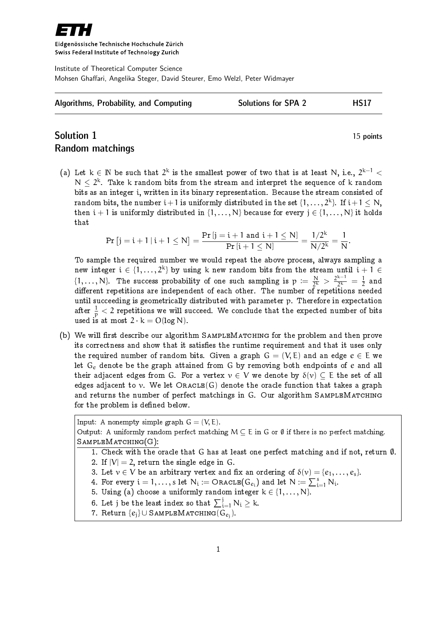

Eidgenössische Technische Hochschule Zürich Swiss Federal Institute of Technology Zurich

Institute of Theoretical Computer Science Mohsen Ghaffari, Angelika Steger, David Steurer, Emo Welzl, Peter Widmayer

| Algorithms, Probability, and Computing | <b>Solutions for SPA 2</b> | <b>HS17</b> |
|----------------------------------------|----------------------------|-------------|
|                                        |                            |             |

## Solution 1 15 points Random matchings

(a) Let  $k \in \mathbb{N}$  be such that  $2^k$  is the smallest power of two that is at least N, i.e.,  $2^{k-1}$  <  $N \leq 2^k$ . Take k random bits from the stream and interpret the sequence of k random bits as an integer i, written in its binary representation. Because the stream consisted of random bits, the number  $\mathfrak{i}+1$  is uniformly distributed in the set  $\{1,\ldots,2^{\mathsf{k}}\}$ . If  $\mathfrak{i}+1\leq \mathsf{N},$ then  $i + 1$  is uniformly distributed in  $\{1, \ldots, N\}$  because for every  $j \in \{1, \ldots, N\}$  it holds that

$$
\Pr\left[j=i+1\,|\,i+1\leq N\right]=\frac{\Pr\left[j=i+1\text{ and }i+1\leq N\right]}{\Pr\left[i+1\leq N\right]}=\frac{1/2^k}{N/2^k}=\frac{1}{N}.
$$

To sample the required number we would repeat the above process, always sampling a new integer  $\mathfrak{i}\in \{1,\ldots, 2^{\mathrm{k}}\}$  by using k new random bits from the stream until  $\mathfrak{i}+1\in$  $\{1,\ldots,N\}$ . The success probability of one such sampling is  $p := \frac{N}{2k}$  $\frac{N}{2^k} > \frac{2^{k-1}}{2^k}$  $\frac{k-1}{2^k} = \frac{1}{2}$  $\frac{1}{2}$  and different repetitions are independent of each other. The number of repetitions needed until succeeding is geometrically distributed with parameter p. Therefore in expectation after  $\frac{1}{\rm p} < 2$  repetitions we will succeed. We conclude that the expected number of bits used is at most  $2 \cdot k = O(\log N)$ .

(b) We will first describe our algorithm SAMPLEMATCHING for the problem and then prove its correctness and show that it satisfies the runtime requirement and that it uses only the required number of random bits. Given a graph  $G = (V, E)$  and an edge  $e \in E$  we let  $G_e$  denote be the graph attained from G by removing both endpoints of  $e$  and all their adjacent edges from G. For a vertex  $v \in V$  we denote by  $\delta(v) \subset E$  the set of all edges adjacent to v. We let  $ORACLE(G)$  denote the oracle function that takes a graph and returns the number of perfect matchings in G. Our algorithm SAMPLEMATCHING for the problem is defined below.

Input: A nonempty simple graph  $G = (V, E)$ . Output: A uniformly random perfect matching  $M \subseteq E$  in G or  $\emptyset$  if there is no perfect matching. SampleMatching(G): 1. Check with the oracle that G has at least one perfect matching and if not, return  $\emptyset$ . 2. If  $|V| = 2$ , return the single edge in G. 3. Let  $v \in V$  be an arbitrary vertex and fix an ordering of  $\delta(v) = \{e_1, \ldots, e_s\}$ . 4. For every  $\mathfrak{i}=1,\ldots, s$  let  $\mathsf{N}_\mathfrak{i}\coloneqq\mathsf{OracLE}( \mathsf{G}_{e_\mathfrak{i}})$  and let  $\mathsf{N}:=\sum_{\mathfrak{i}=1}^s\mathsf{N}_\mathfrak{i}.$ 5. Using (a) choose a uniformly random integer  $k \in \{1, ..., N\}$ . 6. Let j be the least index so that  $\sum_{i=1}^j \mathrm{N}_i \ge \mathrm{k}.$ 7. Return  $\{e_j\} \cup \texttt{SAMPLBMATORING}(G_{e_j}).$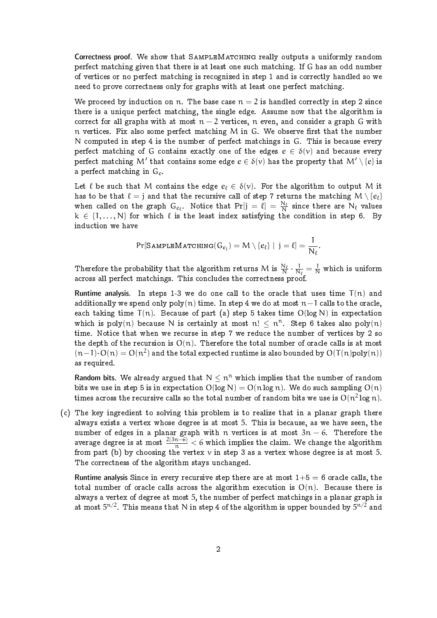Correctness proof. We show that SAMPLEMATCHING really outputs a uniformly random perfect matching given that there is at least one such matching. If G has an odd number of vertices or no perfect matching is recognized in step 1 and is correctly handled so we need to prove correctness only for graphs with at least one perfect matching.

We proceed by induction on n. The base case  $n = 2$  is handled correctly in step 2 since there is a unique perfect matching, the single edge. Assume now that the algorithm is correct for all graphs with at most  $n-2$  vertices, n even, and consider a graph G with  $n$  vertices. Fix also some perfect matching M in G. We observe first that the number N computed in step 4 is the number of perfect matchings in G. This is because every perfect matching of G contains exactly one of the edges  $e \in \delta(v)$  and because every perfect matching M' that contains some edge  $e \in \delta(v)$  has the property that  $\mathsf{M}' \setminus \{e\}$  is a perfect matching in  $G_e$ .

Let  $\ell$  be such that M contains the edge  $e_{\ell} \in \delta(v)$ . For the algorithm to output M it has to be that  $\ell = j$  and that the recursive call of step 7 returns the matching  $M \setminus \{e_\ell\}$ when called on the graph  $G_{e_\ell}$ . Notice that  $Pr[j = \ell] = \frac{N_\ell}{N}$  since there are  $N_\ell$  values  $k \in \{1, ..., N\}$  for which  $\ell$  is the least index satisfying the condition in step 6. By induction we have

$$
\Pr[\texttt{SampleMactual}(G_{e_j}) = M \setminus \{e_\ell\} \mid j = \ell] = \frac{1}{N_\ell}.
$$

Therefore the probability that the algorithm returns M is  $\frac{N_\ell}{N} \cdot \frac{1}{N}$  $\frac{1}{N_\ell} = \frac{1}{N}$  which is uniform across all perfect matchings. This concludes the correctness proof.

Runtime analysis. In steps 1-3 we do one call to the oracle that uses time  $T(n)$  and additionally we spend only poly(n) time. In step 4 we do at most  $n-1$  calls to the oracle, each taking time  $T(n)$ . Because of part (a) step 5 takes time  $O(log N)$  in expectation which is poly(n) because N is certainly at most n!  $\leq n^n$ . Step 6 takes also poly(n) time. Notice that when we recurse in step 7 we reduce the number of vertices by 2 so the depth of the recursion is  $O(n)$ . Therefore the total number of oracle calls is at most  $(n-1)\cdot O(n) = O(n^2)$  and the total expected runtime is also bounded by  $O(T(n)poly(n))$ as required.

Random bits. We already argued that  $N \leq n^n$  which implies that the number of random bits we use in step 5 is in expectation  $O(\log N) = O(n \log n)$ . We do such sampling  $O(n)$ times across the recursive calls so the total number of random bits we use is  $\mathrm{O}(n^2\log n).$ 

(c) The key ingredient to solving this problem is to realize that in a planar graph there always exists a vertex whose degree is at most 5. This is because, as we have seen, the number of edges in a planar graph with n vertices is at most  $3n - 6$ . Therefore the average degree is at most  $\frac{2(3n-6)}{n} < 6$  which implies the claim. We change the algorithm from part (b) by choosing the vertex  $v$  in step 3 as a vertex whose degree is at most 5. The correctness of the algorithm stays unchanged.

Runtime analysis Since in every recursive step there are at most  $1+5=6$  oracle calls, the total number of oracle calls across the algorithm execution is  $O(n)$ . Because there is always a vertex of degree at most 5, the number of perfect matchings in a planar graph is at most  $5^{\mathfrak{n}/2}.$  This means that N in step 4 of the algorithm is upper bounded by  $5^{\mathfrak{n}/2}$  and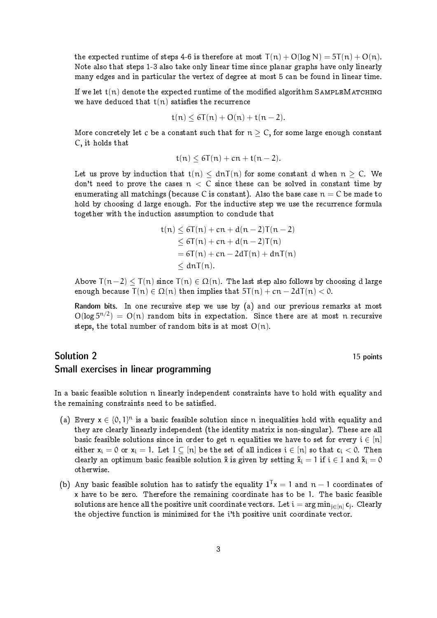the expected runtime of steps 4-6 is therefore at most  $T(n) + O(log N) = 5T(n) + O(n)$ . Note also that steps 1-3 also take only linear time since planar graphs have only linearly many edges and in particular the vertex of degree at most 5 can be found in linear time.

If we let  $t(n)$  denote the expected runtime of the modified algorithm SAMPLEMATCHING we have deduced that  $t(n)$  satisfies the recurrence

$$
t(n) \leq 6T(n) + O(n) + t(n-2).
$$

More concretely let c be a constant such that for  $n > C$ , for some large enough constant C, it holds that

$$
t(n) \le 6T(n) + cn + t(n-2).
$$

Let us prove by induction that  $t(n) < dnT(n)$  for some constant d when  $n > C$ . We don't need to prove the cases  $n < C$  since these can be solved in constant time by enumerating all matchings (because C is constant). Also the base case  $n = C$  be made to hold by choosing d large enough. For the inductive step we use the recurrence formula together with the induction assumption to conclude that

$$
t(n) \leq 6T(n) + cn + d(n-2)T(n-2)
$$
  
\n
$$
\leq 6T(n) + cn + d(n-2)T(n)
$$
  
\n
$$
= 6T(n) + cn - 2dT(n) + dnT(n)
$$
  
\n
$$
\leq dnT(n).
$$

Above  $T(n-2) < T(n)$  since  $T(n) \in \Omega(n)$ . The last step also follows by choosing d large enough because  $T(n) \in \Omega(n)$  then implies that  $5T(n) + cn - 2dT(n) < 0$ .

Random bits. In one recursive step we use by (a) and our previous remarks at most  $O(log 5^{n/2}) = O(n)$  random bits in expectation. Since there are at most n recursive steps, the total number of random bits is at most  $O(n)$ .

## Solution 2 15 points Small exercises in linear programming

In a basic feasible solution n linearly independent constraints have to hold with equality and the remaining constraints need to be satisfied.

- (a) Every  $x \in \{0, 1\}^n$  is a basic feasible solution since n inequalities hold with equality and they are clearly linearly independent (the identity matrix is non-singular). These are all basic feasible solutions since in order to get n equalities we have to set for every  $i \in [n]$ either  $x_i = 0$  or  $x_i = 1$ . Let  $I \subseteq [n]$  be the set of all indices  $i \in [n]$  so that  $c_i < 0$ . Then clearly an optimum basic feasible solution  $\tilde{x}$  is given by setting  $\tilde{x}_i = 1$  if  $i \in I$  and  $\tilde{x}_i = 0$ otherwise.
- (b) Any basic feasible solution has to satisfy the equality  $\mathbf{1}^{\mathsf{T}}\mathsf{x}=1$  and  $\mathsf{n}-1$  coordinates of x have to be zero. Therefore the remaining coordinate has to be 1. The basic feasible solutions are hence all the positive unit coordinate vectors. Let  $\mathfrak{i} = \arg\min_{\mathfrak{j} \in [ \mathfrak{n} ]} \mathbf{c}_{\mathfrak{j}}.$  Clearly the objective function is minimized for the i'th positive unit coordinate vector.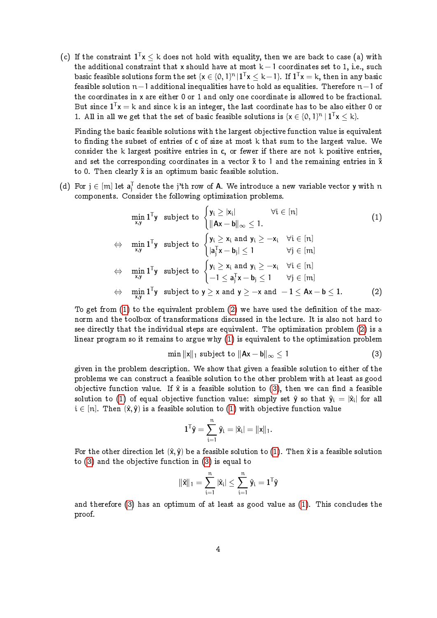(c) If the constraint  $\mathbf{1}^\mathsf{T} \mathsf{x} \le \mathsf{k}$  does not hold with equality, then we are back to case (a) with the additional constraint that x should have at most  $k-1$  coordinates set to 1, i.e., such basic feasible solutions form the set  $\{x\in \{0,1\}^n | 1^Tx\le k-1\}$ . If  $1^Tx=k,$  then in any basic feasible solution  $n-1$  additional inequalities have to hold as equalities. Therefore  $n-1$  of the coordinates in x are either 0 or 1 and only one coordinate is allowed to be fractional. But since  $\mathbf{1}^\mathsf{T}\mathbf{x} = \mathsf{k}$  and since  $\mathsf{k}$  is an integer, the last coordinate has to be also either 0 or 1. All in all we get that the set of basic feasible solutions is  $\{x \in \{0, 1\}^n \mid 1^T x \le k\}$ .

Finding the basic feasible solutions with the largest objective function value is equivalent to finding the subset of entries of  $c$  of size at most  $k$  that sum to the largest value. We consider the  $k$  largest positive entries in c, or fewer if there are not  $k$  positive entries, and set the corresponding coordinates in a vector  $\tilde{x}$  to 1 and the remaining entries in  $\tilde{x}$ to 0. Then clearly  $\tilde{x}$  is an optimum basic feasible solution.

(d) For  $j \in [m]$  let  $\mathbf{a}_j^{\mathsf{T}}$  denote the j'th row of **A**. We introduce a new variable vector **y** with  $n$ components. Consider the following optimization problems.

$$
\min_{x,y} \mathbf{1}^T \mathbf{y} \text{ subject to } \begin{cases} \mathbf{y}_i \geq |\mathbf{x}_i| & \forall i \in [n] \\ \|\mathbf{A}\mathbf{x} - \mathbf{b}\|_{\infty} \leq 1. \end{cases} \quad (1)
$$
\n
$$
\Leftrightarrow \min_{x,y} \mathbf{1}^T \mathbf{y} \text{ subject to } \begin{cases} \mathbf{y}_i \geq \mathbf{x}_i \text{ and } \mathbf{y}_i \geq -\mathbf{x}_i & \forall i \in [n] \\ |\mathbf{a}_j^T \mathbf{x} - \mathbf{b}_j| \leq 1 & \forall j \in [m] \end{cases} \Leftrightarrow \min_{x,y} \mathbf{1}^T \mathbf{y} \text{ subject to } \begin{cases} \mathbf{y}_i \geq \mathbf{x}_i \text{ and } \mathbf{y}_i \geq -\mathbf{x}_i & \forall i \in [n] \\ -1 \leq \mathbf{a}_j^T \mathbf{x} - \mathbf{b}_j \leq 1 & \forall j \in [m] \end{cases} \Leftrightarrow \min_{x,y} \mathbf{1}^T \mathbf{y} \text{ subject to } \mathbf{y} \geq \mathbf{x} \text{ and } \mathbf{y} \geq -\mathbf{x} \text{ and } -1 \leq \mathbf{Ax} - \mathbf{b} \leq 1. \end{cases} \quad (2)
$$

To get from  $(1)$  to the equivalent problem  $(2)$  we have used the definition of the maxnorm and the toolbox of transformations discussed in the lecture. It is also not hard to see directly that the individual steps are equivalent. The optimization problem [\(2\)](#page-3-1) is a linear program so it remains to argue why [\(1\)](#page-3-0) is equivalent to the optimization problem

<span id="page-3-1"></span><span id="page-3-0"></span>
$$
\min \|x\|_1 \text{ subject to } \|\mathbf{Ax} - \mathbf{b}\|_{\infty} \le 1 \tag{3}
$$

given in the problem description. We show that given a feasible solution to either of the problems we can construct a feasible solution to the other problem with at least as good objective function value. If  $\hat{x}$  is a feasible solution to [\(3\)](#page-3-2), then we can find a feasible solution to [\(1\)](#page-3-0) of equal objective function value: simply set  $\hat{\mathsf{y}}$  so that  $\hat{\mathsf{y}}_i = |\hat{\mathsf{x}}_i|$  for all  $i \in [n]$ . Then  $(\hat{x}, \hat{y})$  is a feasible solution to [\(1\)](#page-3-0) with objective function value

<span id="page-3-2"></span>
$$
\mathbf{1}^T\hat{\textbf{y}}=\sum_{i=1}^n\hat{y}_i=|\hat{x}_i|=\|\textbf{x}\|_1.
$$

For the other direction let  $(\hat{x}, \hat{y})$  be a feasible solution to [\(1\)](#page-3-0). Then  $\hat{x}$  is a feasible solution to [\(3\)](#page-3-2) and the objective function in [\(3\)](#page-3-2) is equal to

$$
\|\hat{x}\|_1 = \sum_{i=1}^n |\hat{x}_i| \leq \sum_{i=1}^n \hat{y}_i = \mathbf{1}^\mathsf{T} \hat{y}
$$

and therefore [\(3\)](#page-3-2) has an optimum of at least as good value as [\(1\)](#page-3-0). This concludes the proof.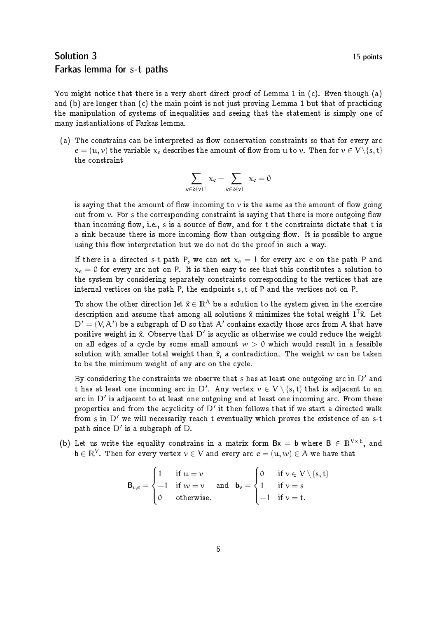## Solution 3 15 points Farkas lemma for s-t paths

You might notice that there is a very short direct proof of Lemma 1 in (c). Even though (a) and (b) are longer than (c) the main point is not just proving Lemma 1 but that of practicing the manipulation of systems of inequalities and seeing that the statement is simply one of many instantiations of Farkas lemma.

(a) The constrains can be interpreted as flow conservation constraints so that for every arc  $e = (u, v)$  the variable  $x_e$  describes the amount of flow from u to v. Then for  $v \in V \setminus \{s, t\}$ the constraint

$$
\sum_{e\in\delta(\nu)^+}x_e-\sum_{e\in\delta(\nu)^-}x_e=0
$$

is saying that the amount of flow incoming to  $\nu$  is the same as the amount of flow going out from  $\nu$ . For s the corresponding constraint is saying that there is more outgoing flow than incoming flow, i.e., s is a source of flow, and for t the constraints dictate that t is a sink because there is more incoming flow than outgoing flow. It is possible to argue using this flow interpretation but we do not do the proof in such a way.

If there is a directed s-t path P, we can set  $x_e = 1$  for every arc e on the path P and  $x_e = 0$  for every arc not on P. It is then easy to see that this constitutes a solution to the system by considering separately constraints corresponding to the vertices that are internal vertices on the path P, the endpoints s, t of P and the vertices not on P.

To show the other direction let  $\hat{x} \in \mathbb{R}^{\mathcal{A}}$  be a solution to the system given in the exercise description and assume that among all solutions  $\hat{\mathsf{x}}$  minimizes the total weight  $1^{\mathsf{T}}\hat{\mathsf{x}}$ . Let  $D' = (V, A')$  be a subgraph of D so that A' contains exactly those arcs from A that have positive weight in  $\hat{\mathsf{x}}$ . Observe that D' is acyclic as otherwise we could reduce the weight on all edges of a cycle by some small amount  $w > 0$  which would result in a feasible solution with smaller total weight than  $\hat{x}$ , a contradiction. The weight w can be taken to be the minimum weight of any arc on the cycle.

By considering the constraints we observe that s has at least one outgoing arc in  $D'$  and t has at least one incoming arc in D'. Any vertex  $v \in V \setminus \{s, t\}$  that is adjacent to an arc in  $D^{\,\prime}$  is adjacent to at least one outgoing and at least one incoming arc. From these properties and from the acyclicity of  $D'$  it then follows that if we start a directed walk from s in  $D'$  we will necessarily reach t eventually which proves the existence of an s-t path since  $D'$  is a subgraph of  $D$ .

(b) Let us write the equality constrains in a matrix form  $Bx = b$  where  $B \in \mathbb{R}^{V \times E}$ , and  $\mathbf{b}\in\mathbb{R}^{\mathcal{V}}.$  Then for every vertex  $\mathcal{v}\in\mathcal{V}$  and every arc  $e=(\mathfrak{u},w)\in\mathcal{A}$  we have that

$$
B_{\nu,e} = \begin{cases} 1 & \text{if } u = \nu \\ -1 & \text{if } \nu = \nu \\ 0 & \text{otherwise.} \end{cases} \quad \text{and} \quad b_{\nu} = \begin{cases} 0 & \text{if } \nu \in V \setminus \{s,t\} \\ 1 & \text{if } \nu = s \\ -1 & \text{if } \nu = t. \end{cases}
$$